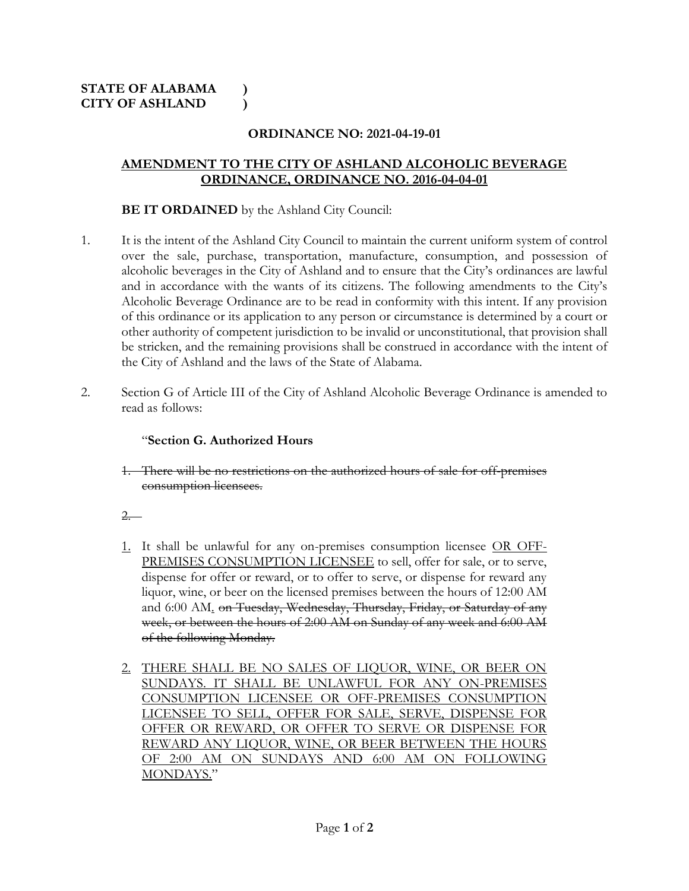## **ORDINANCE NO: 2021-04-19-01**

## **AMENDMENT TO THE CITY OF ASHLAND ALCOHOLIC BEVERAGE ORDINANCE, ORDINANCE NO. 2016-04-04-01**

## **BE IT ORDAINED** by the Ashland City Council:

- 1. It is the intent of the Ashland City Council to maintain the current uniform system of control over the sale, purchase, transportation, manufacture, consumption, and possession of alcoholic beverages in the City of Ashland and to ensure that the City's ordinances are lawful and in accordance with the wants of its citizens. The following amendments to the City's Alcoholic Beverage Ordinance are to be read in conformity with this intent. If any provision of this ordinance or its application to any person or circumstance is determined by a court or other authority of competent jurisdiction to be invalid or unconstitutional, that provision shall be stricken, and the remaining provisions shall be construed in accordance with the intent of the City of Ashland and the laws of the State of Alabama.
- 2. Section G of Article III of the City of Ashland Alcoholic Beverage Ordinance is amended to read as follows:

## "**Section G. Authorized Hours**

1. There will be no restrictions on the authorized hours of sale for off-premises consumption licensees.

2.

- 1. It shall be unlawful for any on-premises consumption licensee OR OFF-PREMISES CONSUMPTION LICENSEE to sell, offer for sale, or to serve, dispense for offer or reward, or to offer to serve, or dispense for reward any liquor, wine, or beer on the licensed premises between the hours of 12:00 AM and 6:00 AM. on Tuesday, Wednesday, Thursday, Friday, or Saturday of any week, or between the hours of 2:00 AM on Sunday of any week and 6:00 AM of the following Monday.
- 2. THERE SHALL BE NO SALES OF LIQUOR, WINE, OR BEER ON SUNDAYS. IT SHALL BE UNLAWFUL FOR ANY ON-PREMISES CONSUMPTION LICENSEE OR OFF-PREMISES CONSUMPTION LICENSEE TO SELL, OFFER FOR SALE, SERVE, DISPENSE FOR OFFER OR REWARD, OR OFFER TO SERVE OR DISPENSE FOR REWARD ANY LIQUOR, WINE, OR BEER BETWEEN THE HOURS OF 2:00 AM ON SUNDAYS AND 6:00 AM ON FOLLOWING MONDAYS."